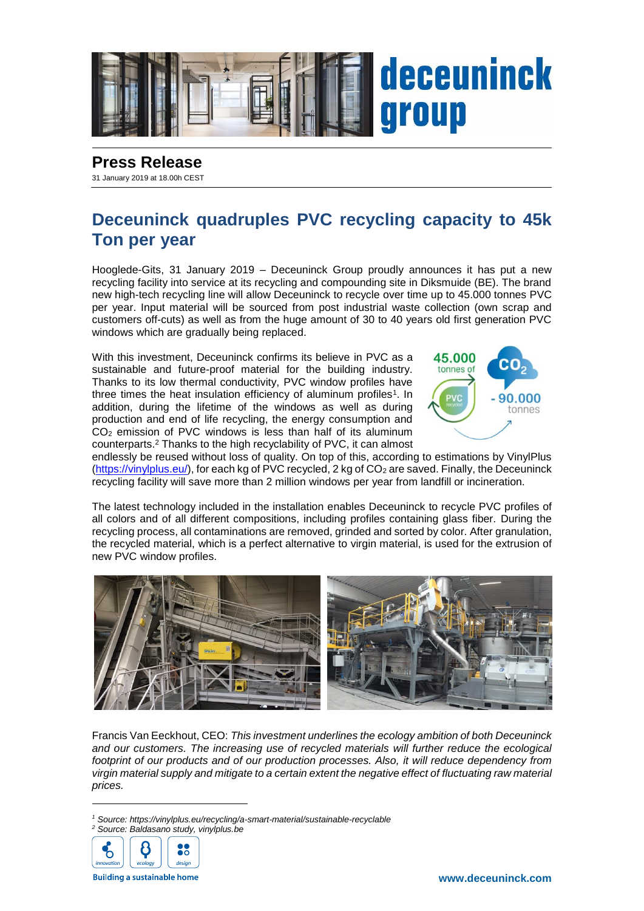

## **Press Release**

31 January 2019 at 18.00h CEST

## **Deceuninck quadruples PVC recycling capacity to 45k Ton per year**

Hooglede-Gits, 31 January 2019 – Deceuninck Group proudly announces it has put a new recycling facility into service at its recycling and compounding site in Diksmuide (BE). The brand new high-tech recycling line will allow Deceuninck to recycle over time up to 45.000 tonnes PVC per year. Input material will be sourced from post industrial waste collection (own scrap and customers off-cuts) as well as from the huge amount of 30 to 40 years old first generation PVC windows which are gradually being replaced.

With this investment, Deceuninck confirms its believe in PVC as a sustainable and future-proof material for the building industry. Thanks to its low thermal conductivity, PVC window profiles have three times the heat insulation efficiency of aluminum profiles<sup>1</sup>. In addition, during the lifetime of the windows as well as during production and end of life recycling, the energy consumption and CO<sup>2</sup> emission of PVC windows is less than half of its aluminum counterparts.<sup>2</sup> Thanks to the high recyclability of PVC, it can almost



endlessly be reused without loss of quality. On top of this, according to estimations by VinylPlus [\(https://vinylplus.eu/\)](https://vinylplus.eu/), for each kg of PVC recycled, 2 kg of CO<sub>2</sub> are saved. Finally, the Deceuninck recycling facility will save more than 2 million windows per year from landfill or incineration.

The latest technology included in the installation enables Deceuninck to recycle PVC profiles of all colors and of all different compositions, including profiles containing glass fiber. During the recycling process, all contaminations are removed, grinded and sorted by color. After granulation, the recycled material, which is a perfect alternative to virgin material, is used for the extrusion of new PVC window profiles.



Francis Van Eeckhout, CEO: *This investment underlines the ecology ambition of both Deceuninck*  and our customers. The increasing use of recycled materials will further reduce the ecological *footprint of our products and of our production processes. Also, it will reduce dependency from virgin material supply and mitigate to a certain extent the negative effect of fluctuating raw material prices.*

*<sup>2</sup> Source: Baldasano study, vinylplus.be*



1

**Building a sustainable home** 

*<sup>1</sup> Source: https://vinylplus.eu/recycling/a-smart-material/sustainable-recyclable*